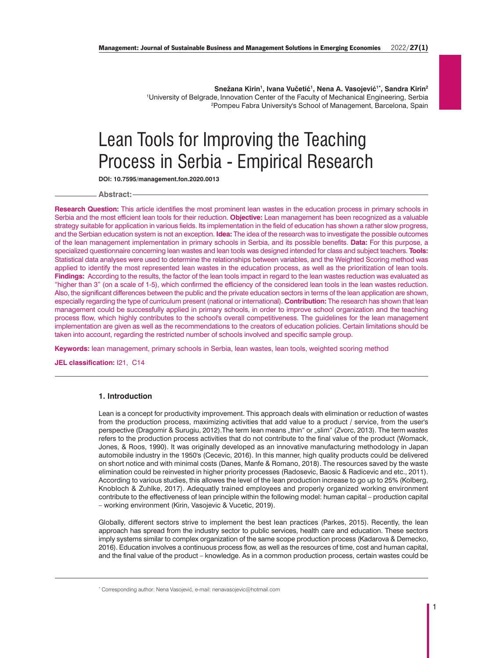Snežana Kirin<sup>1</sup>, Ivana Vučetić<sup>1</sup>, Nena A. Vasojević<sup>1\*</sup>, Sandra Kirin<sup>2</sup> 1 University of Belgrade, Innovation Center of the Faculty of Mechanical Engineering, Serbia 2 Pompeu Fabra University's School of Management, Barcelona, Spain

# Lean Tools for Improving the Teaching<br>Process in Serbia - Empirical Research

Process in Serbia - Empirical Research **DOI: 10.7595/management.fon.2020.0013**

**Abstract:**

**Research Question:** This article identifies the most prominent lean wastes in the education process in primary schools in Serbia and the most efficient lean tools for their reduction. **Objective:** Lean management has been recognized as a valuable strategy suitable for application in various fields. Its implementation in the field of education has shown a rather slow progress, and the Serbian education system is not an exception. **Idea:** The idea of the research was to investigate the possible outcomes of the lean management implementation in primary schools in Serbia, and its possible benefits. **Data:** For this purpose, a specialized questionnaire concerning lean wastes and lean tools was designed intended for class and subject teachers. **Tools:** Statistical data analyses were used to determine the relationships between variables, and the Weighted Scoring method was applied to identify the most represented lean wastes in the education process, as well as the prioritization of lean tools. **Findings:** According to the results, the factor of the lean tools impact in regard to the lean wastes reduction was evaluated as "higher than 3" (on a scale of 1-5), which confirmed the efficiency of the considered lean tools in the lean wastes reduction. Also, the significant differences between the public and the private education sectors in terms of the lean application are shown, especially regarding the type of curriculum present (national or international). **Contribution:** The research has shown that lean management could be successfully applied in primary schools, in order to improve school organization and the teaching process flow, which highly contributes to the school's overall competitiveness. The guidelines for the lean management implementation are given as well as the recommendations to the creators of education policies. Certain limitations should be taken into account, regarding the restricted number of schools involved and specific sample group.

**Keywords:** lean management, primary schools in Serbia, lean wastes, lean tools, weighted scoring method

**JEL classification:** I21, C14

#### **1. Introduction**

Lean is a concept for productivity improvement. This approach deals with elimination or reduction of wastes from the production process, maximizing activities that add value to a product / service, from the user's perspective (Dragomir & Surugiu, 2012).The term lean means "thin" or "slim" (Zvorc, 2013). The term wastes refers to the production process activities that do not contribute to the final value of the product (Womack, Jones, & Roos, 1990). It was originally developed as an innovative manufacturing methodology in Japan automobile industry in the 1950's (Cecevic, 2016). In this manner, high quality products could be delivered on short notice and with minimal costs (Danes, Manfe & Romano, 2018). The resources saved by the waste elimination could be reinvested in higher priority processes (Radosevic, Baosic & Radicevic and etc., 2011). According to various studies, this allowes the level of the lean production increase to go up to 25% (Kolberg, Knobloch & Zuhlke, 2017). Adequatly trained employees and properly organized working environment contribute to the effectiveness of lean principle within the following model: human capital – production capital – working environment (Kirin, Vasojevic & Vucetic, 2019).

Globally, different sectors strive to implement the best lean practices (Parkes, 2015). Recently, the lean approach has spread from the industry sector to public services, health care and education. These sectors imply systems similar to complex organization of the same scope production process (Kadarova & Demecko, 2016). Education involves a continuous process flow, as well as the resources of time, cost and human capital, and the final value of the product – knowledge. As in a common production process, certain wastes could be

\* Corresponding author: Nena Vasojević, e-mail: nenavasojevic@hotmail.com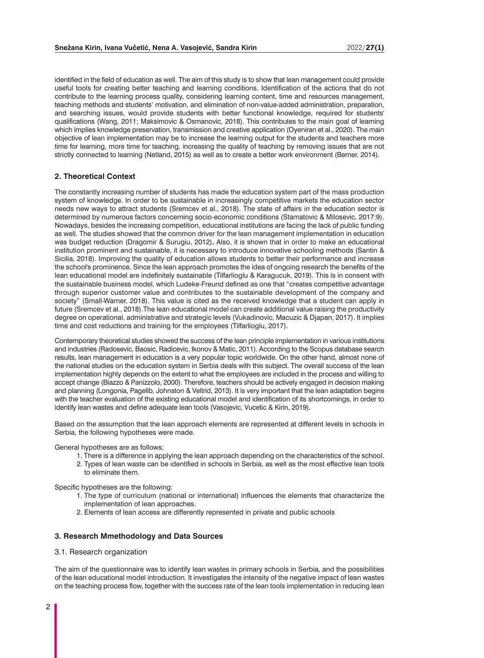identified in the field of education as well. The aim of this study is to show that lean management could provide useful tools for creating better teaching and learning conditions. Identification of the actions that do not contribute to the learning process quality, considering learning content, time and resources management, teaching methods and students' motivation, and elimination of non-value-added administration, preparation, and searching issues, would provide students with better functional knowledge, required for students' qualifications (Wang, 2011; Maksimovic & Osmanovic, 2018). This contributes to the main goal of learning which implies knowledge preservation, transmission and creative application (Oyeniran et al., 2020). The main objective of lean implementation may be to increase the learning output for the students and teachers more time for learning, more time for teaching, increasing the quality of teaching by removing issues that are not strictly connected to learning (Netland, 2015) as well as to create a better work environment (Berner, 2014).

# **2. Theoretical Context**

The constantly increasing number of students has made the education system part of the mass production system of knowledge. In order to be sustainable in increasingly competitive markets the education sector needs new ways to attract students (Sremcev et al., 2018). The state of affairs in the education sector is determined by numerous factors concerning socio-economic conditions (Stamatovic & Milosevic, 2017:9). Nowadays, besides the increasing competition, educational institutions are facing the lack of public funding as well. The studies showed that the common driver for the lean management implementation in education was budget reduction (Dragomir & Surugiu, 2012)**.** Also, it is shown that in order to make an educational institution prominent and sustainable, it is necessary to introduce innovative schooling methods (Santin & Sicilia, 2018). Improving the quality of education allows students to better their performance and increase the school's prominence. Since the lean approach promotes the idea of ongoing research the benefits of the lean educational model are indefinitely sustainable (Tilfarlioglu & Karagucuk, 2019). This is in consent with the sustainable business model, which Ludeke-Freund defined as one that "creates competitive advantage through superior customer value and contributes to the sustainable development of the company and society" (Small-Warner, 2018). This value is cited as the received knowledge that a student can apply in future (Sremcev et al., 2018).The lean educational model can create additional value raising the productivity degree on operational, administrative and strategic levels (Vukadinovic, Macuzic & Djapan, 2017). It implies time and cost reductions and training for the employees (Tilfarlioglu, 2017).

Contemporary theoretical studies showed the success of the lean principle implementation in various institutions and industries (Radosevic, Baosic, Radicevic, Ikonov & Matic, 2011). According to the Scopus database search results, lean management in education is a very popular topic worldwide. On the other hand, almost none of the national studies on the education system in Serbia deals with this subject. The overall success of the lean implementation highly depends on the extent to what the employees are included in the process and willing to accept change (Biazzo & Panizzolo, 2000). Therefore, teachers should be actively engaged in decision making and planning (Longonia, Pagellb, Johnston & Veltrid, 2013). It is very important that the lean adaptation begins with the teacher evaluation of the existing educational model and identification of its shortcomings, in order to identify lean wastes and define adequate lean tools (Vasojevic, Vucetic & Kirin, 2019).

Based on the assumption that the lean approach elements are represented at different levels in schools in Serbia, the following hypotheses were made.

General hypotheses are as follows:

- 1. There is a difference in applying the lean approach depending on the characteristics of the school.
- 2. Types of lean waste can be identified in schools in Serbia, as well as the most effective lean tools to eliminate them.

Specific hypotheses are the following:

- 1. The type of curriculum (national or international) influences the elements that characterize the implementation of lean approaches.
- 2. Elements of lean access are differently represented in private and public schools

# **3. Research Mmethodology and Data Sources**

3.1. Research organization

The aim of the questionnaire was to identify lean wastes in primary schools in Serbia, and the possibilities of the lean educational model introduction. It investigates the intensity of the negative impact of lean wastes on the teaching process flow, together with the success rate of the lean tools implementation in reducing lean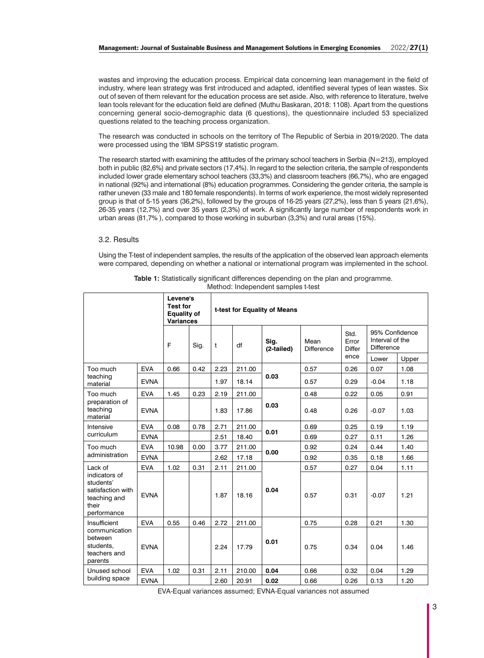wastes and improving the education process. Empirical data concerning lean management in the field of industry, where lean strategy was first introduced and adapted, identified several types of lean wastes. Six out of seven of them relevant for the education process are set aside. Also, with reference to literature, twelve lean tools relevant for the education field are defined (Muthu Baskaran, 2018: 1108). Apart from the questions concerning general socio-demographic data (6 questions), the questionnaire included 53 specialized questions related to the teaching process organization.

The research was conducted in schools on the territory of The Republic of Serbia in 2019/2020. The data were processed using the 'IBM SPSS19' statistic program.

The research started with examining the attitudes of the primary school teachers in Serbia (N=213), employed both in public (82,6%) and private sectors (17,4%). In regard to the selection criteria, the sample of respondents included lower grade elementary school teachers (33,3%) and classroom teachers (66,7%), who are engaged in national (92%) and international (8%) education programmes. Considering the gender criteria, the sample is rather uneven (33 male and 180 female respondents). In terms of work experience, the most widely represented group is that of 5-15 years (36,2%), followed by the groups of 16-25 years (27,2%), less than 5 years (21,6%), 26-35 years (12,7%) and over 35 years (2,3%) of work. A significantly large number of respondents work in urban areas (81,7% ), compared to those working in suburban (3,3%) and rural areas (15%).

### 3.2. Results

Using the T-test of independent samples, the results of the application of the observed lean approach elements were compared, depending on whether a national or international program was implemented in the school.

|                                                                                         |             | Levene's<br><b>Test for</b><br><b>Equality of</b><br><b>Variances</b> |      | t-test for Equality of Means |        |                    |                    |                                |                                                        |       |  |  |
|-----------------------------------------------------------------------------------------|-------------|-----------------------------------------------------------------------|------|------------------------------|--------|--------------------|--------------------|--------------------------------|--------------------------------------------------------|-------|--|--|
|                                                                                         |             | F                                                                     | Sig. | t                            | df     | Sig.<br>(2-tailed) | Mean<br>Difference | Std.<br>Error<br><b>Differ</b> | 95% Confidence<br>Interval of the<br><b>Difference</b> |       |  |  |
|                                                                                         |             |                                                                       |      |                              |        |                    |                    | ence                           | Lower                                                  | Upper |  |  |
| Too much                                                                                | <b>EVA</b>  | 0.66                                                                  | 0.42 | 2.23                         | 211.00 | 0.03               | 0.57               | 0.26                           | 0.07                                                   | 1.08  |  |  |
| teaching<br>material                                                                    | <b>EVNA</b> |                                                                       |      | 1.97                         | 18.14  |                    | 0.57               | 0.29                           | $-0.04$                                                | 1.18  |  |  |
| Too much                                                                                | <b>EVA</b>  | 1.45                                                                  | 0.23 | 2.19                         | 211.00 |                    | 0.48               | 0.22                           | 0.05                                                   | 0.91  |  |  |
| preparation of<br>teaching<br>material                                                  | <b>EVNA</b> |                                                                       |      | 1.83                         | 17.86  | 0.03               | 0.48               | 0.26                           | $-0.07$                                                | 1.03  |  |  |
| Intensive                                                                               | <b>EVA</b>  | 0.08                                                                  | 0.78 | 2.71                         | 211.00 | 0.01               | 0.69               | 0.25                           | 0.19                                                   | 1.19  |  |  |
| curriculum                                                                              | <b>EVNA</b> |                                                                       |      | 2.51                         | 18.40  |                    | 0.69               | 0.27                           | 0.11                                                   | 1.26  |  |  |
| Too much                                                                                | <b>EVA</b>  | 10.98                                                                 | 0.00 | 3.77                         | 211.00 | 0.00               | 0.92               | 0.24                           | 0.44                                                   | 1.40  |  |  |
| administration                                                                          | <b>EVNA</b> |                                                                       |      | 2.62                         | 17.18  |                    | 0.92               | 0.35                           | 0.18                                                   | 1.66  |  |  |
| Lack of                                                                                 | <b>EVA</b>  | 1.02                                                                  | 0.31 | 2.11                         | 211.00 |                    | 0.57               | 0.27                           | 0.04                                                   | 1.11  |  |  |
| indicators of<br>students'<br>satisfaction with<br>teaching and<br>their<br>performance | <b>EVNA</b> |                                                                       |      | 1.87                         | 18.16  | 0.04               | 0.57               | 0.31                           | $-0.07$                                                | 1.21  |  |  |
| Insufficient                                                                            | <b>EVA</b>  | 0.55                                                                  | 0.46 | 2.72                         | 211.00 |                    | 0.75               | 0.28                           | 0.21                                                   | 1.30  |  |  |
| communication<br>between<br>students.<br>teachers and<br>parents                        | <b>EVNA</b> |                                                                       |      | 2.24                         | 17.79  | 0.01               | 0.75               | 0.34                           | 0.04                                                   | 1.46  |  |  |
| Unused school                                                                           | <b>EVA</b>  | 1.02                                                                  | 0.31 | 2.11                         | 210.00 | 0.04               | 0.66               | 0.32                           | 0.04                                                   | 1.29  |  |  |
| building space                                                                          | <b>EVNA</b> |                                                                       |      | 2.60                         | 20.91  | 0.02               | 0.66               | 0.26                           | 0.13                                                   | 1.20  |  |  |

**Table 1:** Statistically significant differences depending on the plan and programme. Method: Independent samples t-test

EVA-Equal variances assumed; EVNA-Equal variances not assumed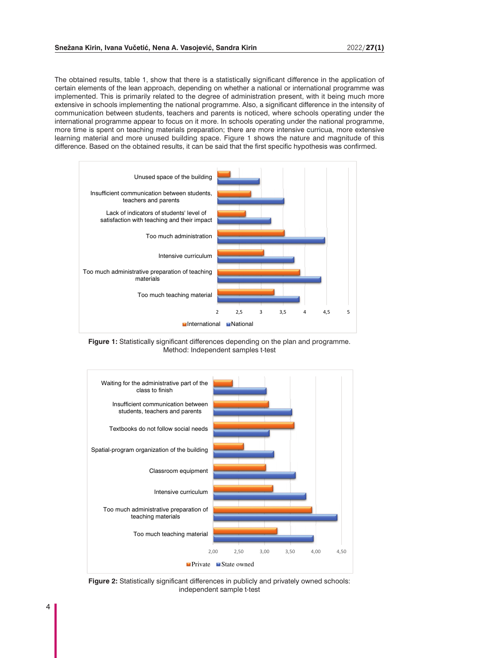The obtained results, table 1, show that there is a statistically significant difference in the application of certain elements of the lean approach, depending on whether a national or international programme was implemented. This is primarily related to the degree of administration present, with it being much more extensive in schools implementing the national programme. Also, a significant difference in the intensity of communication between students, teachers and parents is noticed, where schools operating under the international programme appear to focus on it more. In schools operating under the national programme, more time is spent on teaching materials preparation; there are more intensive curricua, more extensive learning material and more unused building space. Figure 1 shows the nature and magnitude of this difference. Based on the obtained results, it can be said that the first specific hypothesis was confirmed.



**Figure 1:** Statistically significant differences depending on the plan and programme. Method: Independent samples t-test



**Figure 2:** Statistically significant differences in publicly and privately owned schools: independent sample t-test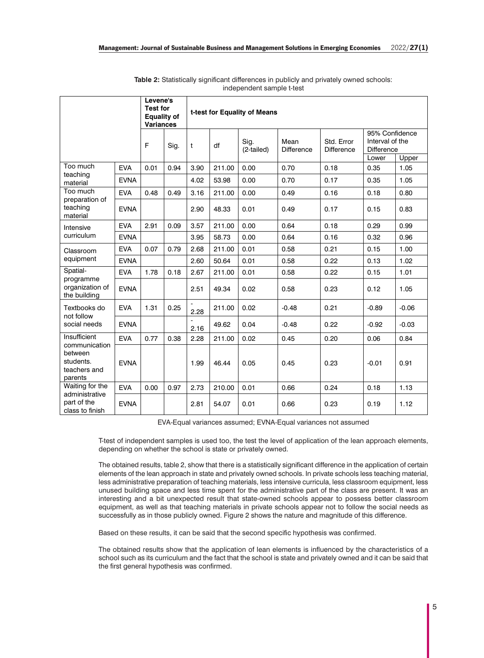|                                                                  | Levene's<br><b>Test for</b><br><b>Equality of</b><br><b>Variances</b> |      | t-test for Equality of Means |      |        |                    |                    |                                 |                                                        |               |  |  |
|------------------------------------------------------------------|-----------------------------------------------------------------------|------|------------------------------|------|--------|--------------------|--------------------|---------------------------------|--------------------------------------------------------|---------------|--|--|
|                                                                  |                                                                       | F    | Sig.                         | t    | df     | Sig.<br>(2-tailed) | Mean<br>Difference | Std. Error<br><b>Difference</b> | 95% Confidence<br>Interval of the<br><b>Difference</b> |               |  |  |
| Too much                                                         | <b>EVA</b>                                                            | 0.01 | 0.94                         | 3.90 | 211.00 | 0.00               | 0.70               | 0.18                            | Lower<br>0.35                                          | Upper<br>1.05 |  |  |
| teaching<br>material                                             | <b>EVNA</b>                                                           |      |                              | 4.02 | 53.98  | 0.00               | 0.70               | 0.17                            | 0.35                                                   | 1.05          |  |  |
| Too much                                                         | <b>EVA</b>                                                            | 0.48 | 0.49                         | 3.16 | 211.00 | 0.00               | 0.49               | 0.16                            | 0.18                                                   | 0.80          |  |  |
| preparation of<br>teaching<br>material                           | <b>EVNA</b>                                                           |      |                              | 2.90 | 48.33  | 0.01               | 0.49               | 0.17                            | 0.15                                                   | 0.83          |  |  |
| Intensive                                                        | <b>EVA</b>                                                            | 2.91 | 0.09                         | 3.57 | 211.00 | 0.00               | 0.64               | 0.18                            | 0.29                                                   | 0.99          |  |  |
| curriculum                                                       | <b>EVNA</b>                                                           |      |                              | 3.95 | 58.73  | 0.00               | 0.64               | 0.16                            | 0.32                                                   | 0.96          |  |  |
| Classroom<br>equipment                                           | <b>EVA</b>                                                            | 0.07 | 0.79                         | 2.68 | 211.00 | 0.01               | 0.58               | 0.21                            | 0.15                                                   | 1.00          |  |  |
|                                                                  | <b>EVNA</b>                                                           |      |                              | 2.60 | 50.64  | 0.01               | 0.58               | 0.22                            | 0.13                                                   | 1.02          |  |  |
| Spatial-                                                         | <b>EVA</b>                                                            | 1.78 | 0.18                         | 2.67 | 211.00 | 0.01               | 0.58               | 0.22                            | 0.15                                                   | 1.01          |  |  |
| programme<br>organization of<br>the building                     | <b>EVNA</b>                                                           |      |                              | 2.51 | 49.34  | 0.02               | 0.58               | 0.23                            | 0.12                                                   | 1.05          |  |  |
| Textbooks do<br>not follow                                       | <b>EVA</b>                                                            | 1.31 | 0.25                         | 2.28 | 211.00 | 0.02               | $-0.48$            | 0.21                            | $-0.89$                                                | $-0.06$       |  |  |
| social needs                                                     | <b>EVNA</b>                                                           |      |                              | 2.16 | 49.62  | 0.04               | $-0.48$            | 0.22                            | $-0.92$                                                | $-0.03$       |  |  |
| Insufficient                                                     | <b>EVA</b>                                                            | 0.77 | 0.38                         | 2.28 | 211.00 | 0.02               | 0.45               | 0.20                            | 0.06                                                   | 0.84          |  |  |
| communication<br>between<br>students.<br>teachers and<br>parents | <b>EVNA</b>                                                           |      |                              | 1.99 | 46.44  | 0.05               | 0.45               | 0.23                            | $-0.01$                                                | 0.91          |  |  |
| Waiting for the                                                  | <b>EVA</b>                                                            | 0.00 | 0.97                         | 2.73 | 210.00 | 0.01               | 0.66               | 0.24                            | 0.18                                                   | 1.13          |  |  |
| administrative<br>part of the<br>class to finish                 | <b>EVNA</b>                                                           |      |                              | 2.81 | 54.07  | 0.01               | 0.66               | 0.23                            | 0.19                                                   | 1.12          |  |  |

**Table 2:** Statistically significant differences in publicly and privately owned schools: independent sample t-test

EVA-Equal variances assumed; EVNA-Equal variances not assumed

T-test of independent samples is used too, the test the level of application of the lean approach elements, depending on whether the school is state or privately owned.

The obtained results, table 2, show that there is a statistically significant difference in the application of certain elements of the lean approach in state and privately owned schools. In private schools less teaching material, less administrative preparation of teaching materials, less intensive curricula, less classroom equipment, less unused building space and less time spent for the administrative part of the class are present. It was an interesting and a bit unexpected result that state-owned schools appear to possess better classroom equipment, as well as that teaching materials in private schools appear not to follow the social needs as successfully as in those publicly owned. Figure 2 shows the nature and magnitude of this difference.

Based on these results, it can be said that the second specific hypothesis was confirmed.

The obtained results show that the application of lean elements is influenced by the characteristics of a school such as its curriculum and the fact that the school is state and privately owned and it can be said that the first general hypothesis was confirmed.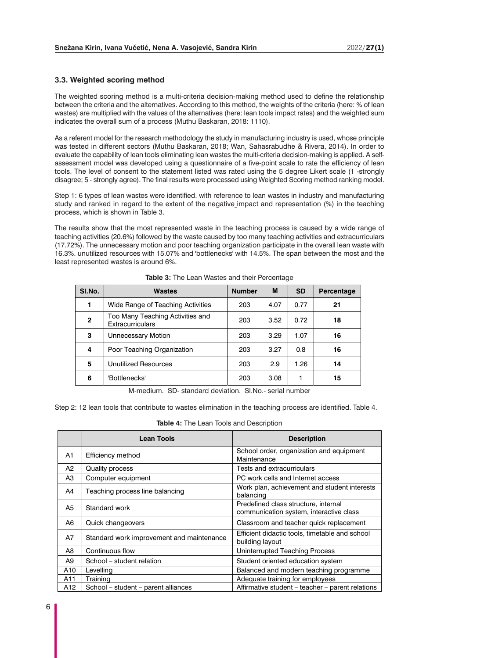### **3.3. Weighted scoring method**

The weighted scoring method is a multi-criteria decision-making method used to define the relationship between the criteria and the alternatives. According to this method, the weights of the criteria (here: % of lean wastes) are multiplied with the values of the alternatives (here: lean tools impact rates) and the weighted sum indicates the overall sum of a process (Muthu Baskaran, 2018: 1110).

As a referent model for the research methodology the study in manufacturing industry is used, whose principle was tested in different sectors (Muthu Baskaran, 2018; Wan, Sahasrabudhe & Rivera, 2014). In order to evaluate the capability of lean tools eliminating lean wastes the multi-criteria decision-making is applied. A selfassessment model was developed using a questionnaire of a five-point scale to rate the efficiency of lean tools. The level of consent to the statement listed was rated using the 5 degree Likert scale (1 -strongly disagree; 5 - strongly agree). The final results were processed using Weighted Scoring method ranking model.

Step 1: 6 types of lean wastes were identified. with reference to lean wastes in industry and manufacturing study and ranked in regard to the extent of the negative impact and representation (%) in the teaching process, which is shown in Table 3.

The results show that the most represented waste in the teaching process is caused by a wide range of teaching activities (20.6%) followed by the waste caused by too many teaching activities and extracurriculars (17.72%). The unnecessary motion and poor teaching organization participate in the overall lean waste with 16.3%. unutilized resources with 15.07% and 'bottlenecks' with 14.5%. The span between the most and the least represented wastes is around 6%.

| SI.No.       | <b>Wastes</b>                                               | <b>Number</b> | M    | <b>SD</b> | Percentage |
|--------------|-------------------------------------------------------------|---------------|------|-----------|------------|
| 1            | Wide Range of Teaching Activities                           | 203           | 4.07 | 0.77      | 21         |
| $\mathbf{2}$ | Too Many Teaching Activities and<br><b>Extracurriculars</b> | 203           | 3.52 | 0.72      | 18         |
| 3            | Unnecessary Motion                                          | 203           | 3.29 | 1.07      | 16         |
| 4            | Poor Teaching Organization                                  | 203           | 3.27 | 0.8       | 16         |
| 5            | <b>Unutilized Resources</b>                                 | 203           | 2.9  | 1.26      | 14         |
| 6            | 'Bottlenecks'                                               | 203           | 3.08 |           | 15         |

**Table 3:** The Lean Wastes and their Percentage

M-medium. SD- standard deviation. Sl.No.- serial number

Step 2: 12 lean tools that contribute to wastes elimination in the teaching process are identified. Table 4.

|  |  | <b>Table 4:</b> The Lean Tools and Description |
|--|--|------------------------------------------------|
|--|--|------------------------------------------------|

|                | <b>Lean Tools</b>                         | <b>Description</b>                                                              |
|----------------|-------------------------------------------|---------------------------------------------------------------------------------|
| A1             | Efficiency method                         | School order, organization and equipment<br>Maintenance                         |
| A <sub>2</sub> | Quality process                           | Tests and extracurriculars                                                      |
| A3             | Computer equipment                        | PC work cells and Internet access                                               |
| A4             | Teaching process line balancing           | Work plan, achievement and student interests<br>balancing                       |
| A5             | Standard work                             | Predefined class structure, internal<br>communication system, interactive class |
| A <sub>6</sub> | Quick changeovers                         | Classroom and teacher quick replacement                                         |
| A7             | Standard work improvement and maintenance | Efficient didactic tools, timetable and school<br>building layout               |
| A8             | Continuous flow                           | Uninterrupted Teaching Process                                                  |
| A9             | School – student relation                 | Student oriented education system                                               |
| A10            | Levelling                                 | Balanced and modern teaching programme                                          |
| A11            | Training                                  | Adequate training for employees                                                 |
| A12            | School – student – parent alliances       | Affirmative student – teacher – parent relations                                |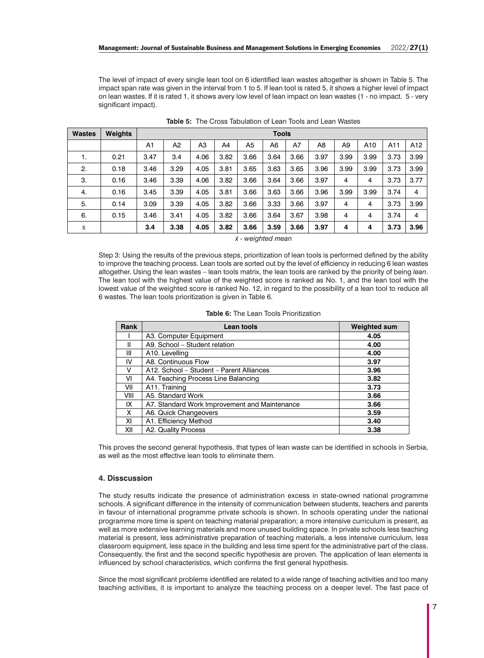The level of impact of every single lean tool on 6 identified lean wastes altogether is shown in Table 5. The impact span rate was given in the interval from 1 to 5. If lean tool is rated 5, it shows a higher level of impact on lean wastes. If it is rated 1, it shows avery low level of lean impact on lean wastes (1 - no impact. 5 - very significant impact).

| <b>Wastes</b>      | <b>Weights</b> | Tools          |      |      |      |                |      |      |      |      |      |      |                 |
|--------------------|----------------|----------------|------|------|------|----------------|------|------|------|------|------|------|-----------------|
|                    |                | A <sub>1</sub> | A2   | A3   | A4   | A <sub>5</sub> | A6   | A7   | A8   | A9   | A10  | A11  | A <sub>12</sub> |
| 1.                 | 0.21           | 3.47           | 3.4  | 4.06 | 3.82 | 3.66           | 3.64 | 3.66 | 3.97 | 3.99 | 3.99 | 3.73 | 3.99            |
| 2.                 | 0.18           | 3.46           | 3.29 | 4.05 | 3.81 | 3.65           | 3.63 | 3.65 | 3.96 | 3.99 | 3.99 | 3.73 | 3.99            |
| 3.                 | 0.16           | 3.46           | 3.39 | 4.06 | 3.82 | 3.66           | 3.64 | 3.66 | 3.97 | 4    | 4    | 3.73 | 3.77            |
| 4.                 | 0.16           | 3.45           | 3.39 | 4.05 | 3.81 | 3.66           | 3.63 | 3.66 | 3.96 | 3.99 | 3.99 | 3.74 | 4               |
| 5.                 | 0.14           | 3.09           | 3.39 | 4.05 | 3.82 | 3.66           | 3.33 | 3.66 | 3.97 | 4    | 4    | 3.73 | 3.99            |
| 6.                 | 0.15           | 3.46           | 3.41 | 4.05 | 3.82 | 3.66           | 3.64 | 3.67 | 3.98 | 4    | 4    | 3.74 | 4               |
| $\dot{\textbf{X}}$ |                | 3.4            | 3.38 | 4.05 | 3.82 | 3.66           | 3.59 | 3.66 | 3.97 | 4    | 4    | 3.73 | 3.96            |

**Table 5:** The Cross Tabulation of Lean Tools and Lean Wastes

*ẋ - weighted mean*

Step 3: Using the results of the previous steps, prioritization of lean tools is performed defined by the ability to improve the teaching process. Lean tools are sorted out by the level of efficiency in reducing 6 lean wastes altogether. Using the lean wastes – lean tools matrix, the lean tools are ranked by the priority of being *lean*. The lean tool with the highest value of the weighted score is ranked as No. 1, and the lean tool with the lowest value of the weighted score is ranked No. 12, in regard to the possibility of a lean tool to reduce all 6 wastes. The lean tools prioritization is given in Table 6.

| <b>Table 6:</b> The Lean Tools Prioritization |  |
|-----------------------------------------------|--|
|-----------------------------------------------|--|

| Rank | Lean tools                                    | <b>Weighted sum</b> |
|------|-----------------------------------------------|---------------------|
|      | A3. Computer Equipment                        | 4.05                |
| Ш    | A9. School - Student relation                 | 4.00                |
| Ш    | A10. Levelling                                | 4.00                |
| IV   | A8. Continuous Flow                           | 3.97                |
| v    | A12. School - Student - Parent Alliances      | 3.96                |
| VI   | A4. Teaching Process Line Balancing           | 3.82                |
| VII  | A11. Training                                 | 3.73                |
| VIII | A5. Standard Work                             | 3.66                |
| IX   | A7. Standard Work Improvement and Maintenance | 3.66                |
| X    | A6. Quick Changeovers                         | 3.59                |
| ΧI   | A1. Efficiency Method                         | 3.40                |
| XII  | A2. Quality Process                           | 3.38                |

This proves the second general hypothesis, that types of lean waste can be identified in schools in Serbia, as well as the most effective lean tools to eliminate them.

#### **4. Disscussion**

The study results indicate the presence of administration excess in state-owned national programme schools. A significant difference in the intensity of communication between students, teachers and parents in favour of international programme private schools is shown. In schools operating under the national programme more time is spent on teaching material preparation; a more intensive curriculum is present, as well as more extensive learning materials and more unused building space. In private schools less teaching material is present, less administrative preparation of teaching materials, a less intensive curriculum, less classroom equipment, less space in the building and less time spent for the administrative part of the class. Consequently, the first and the second specific hypothesis are proven. The application of lean elements is influenced by school characteristics, which confirms the first general hypothesis.

Since the most significant problems identified are related to a wide range of teaching activities and too many teaching activities, it is important to analyze the teaching process on a deeper level. The fast pace of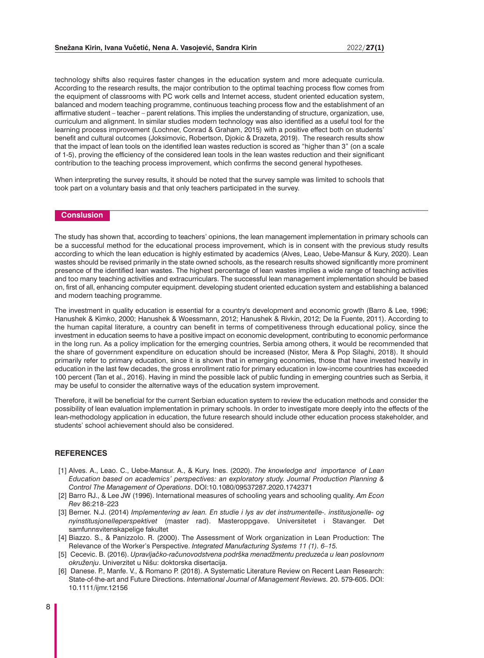technology shifts also requires faster changes in the education system and more adequate curricula. According to the research results, the major contribution to the optimal teaching process flow comes from the equipment of classrooms with PC work cells and Internet access, student oriented education system, balanced and modern teaching programme, continuous teaching process flow and the establishment of an affirmative student – teacher – parent relations. This implies the understanding of structure, organization, use, curriculum and alignment. In similar studies modern technology was also identified as a useful tool for the learning process improvement (Lochner, Conrad & Graham, 2015) with a positive effect both on students' benefit and cultural outcomes (Joksimovic, Robertson, Djokic & Drazeta, 2019). The research results show that the impact of lean tools on the identified lean wastes reduction is scored as "higher than 3" (on a scale of 1-5), proving the efficiency of the considered lean tools in the lean wastes reduction and their significant contribution to the teaching process improvement, which confirms the second general hypotheses.

When interpreting the survey results, it should be noted that the survey sample was limited to schools that took part on a voluntary basis and that only teachers participated in the survey.

# **Conslusion**

The study has shown that, according to teachers' opinions, the lean management implementation in primary schools can be a successful method for the educational process improvement, which is in consent with the previous study results according to which the lean education is highly estimated by academics (Alves, Leao, Uebe-Mansur & Kury, 2020). Lean wastes should be revised primarily in the state owned schools, as the research results showed significantly more prominent presence of the identified lean wastes. The highest percentage of lean wastes implies a wide range of teaching activities and too many teaching activities and extracurriculars. The successful lean management implementation should be based on, first of all, enhancing computer equipment. developing student oriented education system and establishing a balanced and modern teaching programme.

The investment in quality education is essential for a country's development and economic growth (Barro & Lee, 1996; Hanushek & Kimko, 2000; Hanushek & Woessmann, 2012; Hanushek & Rivkin, 2012; De la Fuente, 2011). According to the human capital literature, a country can benefit in terms of competitiveness through educational policy, since the investment in education seems to have a positive impact on economic development, contributing to economic performance in the long run. As a policy implication for the emerging countries, Serbia among others, it would be recommended that the share of government expenditure on education should be increased (Nistor, Mera & Pop Silaghi, 2018). It should primarily refer to primary education, since it is shown that in emerging economies, those that have invested heavily in education in the last few decades, the gross enrollment ratio for primary education in low-income countries has exceeded 100 percent (Tan et al., 2016). Having in mind the possible lack of public funding in emerging countries such as Serbia, it may be useful to consider the alternative ways of the education system improvement.

Therefore, it will be beneficial for the current Serbian education system to review the education methods and consider the possibility of lean evaluation implementation in primary schools. In order to investigate more deeply into the effects of the lean-methodology application in education, the future research should include other education process stakeholder, and students' school achievement should also be considered.

# **REFERENCES**

- [1] Alves. A., Leao. C., Uebe-Mansur. A., & Kury. Ines. (2020). *The knowledge and importance of Lean Education based on academics' perspectives: an exploratory study. Journal Production Planning & Control The Management of Operations*. DOI:10.1080/09537287.2020.1742371
- [2] Barro RJ., & Lee JW (1996). International measures of schooling years and schooling quality. *Am Econ Rev* 86:218–223
- [3] Berner. N.J. (2014) *Implementering av lean. En studie i lys av det instrumentelle-. institusjonelle- og nyinstitusjonelleperspektivet* (master rad). Masteroppgave. Universitetet i Stavanger. Det samfunnsvitenskapelige fakultet
- [4] Biazzo. S., & Panizzolo. R. (2000). The Assessment of Work organization in Lean Production: The Relevance of the Worker's Perspective. *Integrated Manufacturing Systems 11 (1). 6–15.*
- [5] Cecevic. B. (2016). *Upravljačko-računovodstvena podrška menadžmentu preduzeća u lean poslovnom okruženju*. Univerzitet u Nišu: doktorska disertacija.
- [6] Danese. P., Manfe. V., & Romano P. (2018). A Systematic Literature Review on Recent Lean Research: State-of-the-art and Future Directions. *International Journal of Management Reviews.* 20. 579-605. DOI: 10.1111/ijmr.12156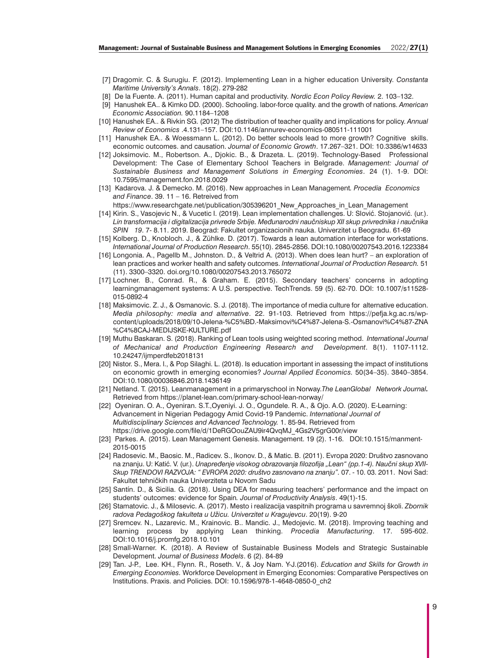- [7] Dragomir. C. & Surugiu. F. (2012). Implementing Lean in a higher education University. *Constanta Maritime University's Annals*. 18(2). 279-282
- [8] De la Fuente. A. (2011). Human capital and productivity*. Nordic Econ Policy Review.* 2. 103–132.
- [9] Hanushek EA.. & Kimko DD. (2000). Schooling. labor-force quality. and the growth of nations. *American Economic Association.* 90.1184–1208
- [10] Hanushek EA.. & Rivkin SG. (2012) The distribution of teacher quality and implications for policy. *Annual Review of Economics* .4.131–157. DOI:10.1146/annurev-economics-080511-111001
- [11] Hanushek EA.. & Woessmann L. (2012). Do better schools lead to more growth? Cognitive skills. economic outcomes. and causation. *Journal of Economic Growth*. 17.267–321. DOI: 10.3386/w14633
- [12] Joksimovic. M., Robertson. A., Djokic. B., & Drazeta. L. (2019). Technology-Based Professional Development: The Case of Elementary School Teachers in Belgrade. *Management: Journal of Sustainable Business and Management Solutions in Emerging Economies*. 24 (1). 1-9. DOI: 10.7595/management.fon.2018.0029
- [13] Kadarova. J. & Demecko. M. (2016). New approaches in Lean Management*. Procedia Economics and Finance*. 39. 11 – 16. Retreived from
	- https://www.researchgate.net/publication/305396201\_New\_Approaches\_in\_Lean\_Management
- [14] Kirin. S., Vasojevic N., & Vucetic I. (2019). Lean implementation challenges. U: Slović. Stojanović. (ur.). *Lin transformacija i digitalizacija privrede Srbije. Međunarodni naučniskup XII skup privrednika i naučnika SPIN 19*. 7- 8.11. 2019. Beograd: Fakultet organizacionih nauka. Univerzitet u Beogradu. 61-69
- [15] Kolberg. D., Knobloch. J., & Zühlke. D. (2017). Towards a lean automation interface for workstations. *International Journal of Production Research*. 55(10). 2845-2856. DOI:10.1080/00207543.2016.1223384
- [16] Longonia. A., Pagellb M., Johnston. D., & Veltrid A. (2013). When does lean hurt? an exploration of lean practices and worker health and safety outcomes. *International Journal of Production Research.* 51 (11). 3300–3320. doi.org/10.1080/00207543.2013.765072
- [17] Lochner. B., Conrad. R., & Graham. E. (2015). Secondary teachers' concerns in adopting learningmanagement systems: A U.S. perspective. TechTrends. 59 (5). 62-70. DOI: 10.1007/s11528- 015-0892-4
- [18] Maksimovic. Z. J., & Osmanovic. S. J. (2018). The importance of media culture for alternative education. *Media philosophy: media and alternative*. 22. 91-103. Retrieved from https://pefja.kg.ac.rs/wpcontent/uploads/2018/09/10-Jelena-%C5%BD.-Maksimovi%C4%87-Jelena-S.-Osmanovi%C4%87-ZNA %C4%8CAJ-MEDIJSKE-KULTURE.pdf
- [19] Muthu Baskaran. S. (2018). Ranking of Lean tools using weighted scoring method. *International Journal of Mechanical and Production Engineering Research and Development*. 8(1). 1107-1112. 10.24247/ijmperdfeb2018131
- [20] Nistor. S., Mera. l., & Pop Silaghi. L. (2018). Is education important in assessing the impact of institutions on economic growth in emerging economies? *Journal Applied Economics.* 50(34–35). 3840–3854. DOI:10.1080/00036846.2018.1436149
- [21] Netland. T. (2015). Leanmanagement in a primaryschool in Norway.*The LeanGlobal Network Journal.* Retrieved from https://planet-lean.com/primary-school-lean-norway/
- [22] Oyeniran. O. A., Oyeniran. S.T.,Oyeniyi. J. O., Ogundele. R. A., & Ojo. A.O. (2020). E-Learning: Advancement in Nigerian Pedagogy Amid Covid-19 Pandemic. *International Journal of Multidisciplinary Sciences and Advanced Technology.* 1. 85-94. Retrieved from https://drive.google.com/file/d/1DeRGOouZAU9ir4QvqMJ\_4Gs2V5grG00r/view
- [23] Parkes. A. (2015). Lean Management Genesis. Management. 19 (2). 1-16. DOI:10.1515/manment-2015-0015
- [24] Radosevic. M., Baosic. M., Radicev. S., Ikonov. D., & Matic. B. (2011). Evropa 2020: Društvo zasnovano na znanju. U: Katić. V. (ur.). *Unapređenje visokog obrazovanja filozofija "Lean" (pp.1-4). Naučni skup XVII-Skup TRENDOVI RAZVOJA: " EVROPA 2020: društvo zasnovano na znanju".* 07. - 10. 03. 2011. Novi Sad: Fakultet tehničkih nauka Univerziteta u Novom Sadu
- [25] Santín. D., & Sicilia. G. (2018). Using DEA for measuring teachers' performance and the impact on students' outcomes: evidence for Spain*. Journal of Productivity Analysis*. 49(1)-15.
- [26] Stamatovic. J., & Milosevic. A. (2017). Mesto i realizacija vaspitnih programa u savremnoj školi. *Zbornik radova Pedagoškog fakulteta u Užicu. Univerzitet u Kragujevcu*. 20(19). 9-20
- [27] Sremcev. N., Lazarevic. M., Krainovic. B.. Mandic. J., Medojevic. M. (2018). Improving teaching and learning process by applying Lean thinking. *Procedia Manufacturing*. 17. 595-602. DOI:10.1016/j.promfg.2018.10.101
- [28] Small-Warner. K. (2018). A Review of Sustainable Business Models and Strategic Sustainable Development. *Journal of Business Models*. 6 (2). 84-89
- [29] Tan. J-P., Lee. KH., Flynn. R., Roseth. V., & Joy Nam. Y-J.(2016). *Education and Skills for Growth in Emerging Economies.* Workforce Development in Emerging Economies: Comparative Perspectives on Institutions. Praxis. and Policies. DOI: 10.1596/978-1-4648-0850-0\_ch2